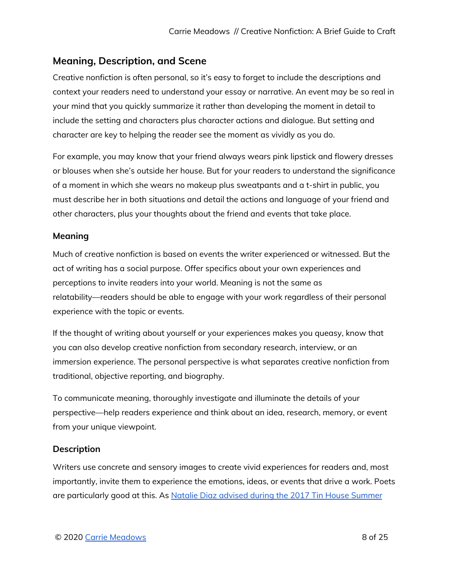# **Meaning, Description, and Scene**

Creative nonfiction is often personal, so it's easy to forget to include the descriptions and context your readers need to understand your essay or narrative. An event may be so real in your mind that you quickly summarize it rather than developing the moment in detail to include the setting and characters plus character actions and dialogue. But setting and character are key to helping the reader see the moment as vividly as you do.

For example, you may know that your friend always wears pink lipstick and flowery dresses or blouses when she's outside her house. But for your readers to understand the significance of a moment in which she wears no makeup plus sweatpants and a t-shirt in public, you must describe her in both situations and detail the actions and language of your friend and other characters, plus your thoughts about the friend and events that take place.

## **Meaning**

Much of creative nonfiction is based on events the writer experienced or witnessed. But the act of writing has a social purpose. Offer specifics about your own experiences and perceptions to invite readers into your world. Meaning is not the same as relatability—readers should be able to engage with your work regardless of their personal experience with the topic or events.

If the thought of writing about yourself or your experiences makes you queasy, know that you can also develop creative nonfiction from secondary research, interview, or an immersion experience. The personal perspective is what separates creative nonfiction from traditional, objective reporting, and biography.

To communicate meaning, thoroughly investigate and illuminate the details of your perspectiveȲhelp readers experience and think about an idea, research, memory, or event from your unique viewpoint.

# Description

Writers use concrete and sensory images to create vivid experiences for readers and, most importantly, invite them to experience the emotions, ideas, or events that drive a work. Poets are particularly good at this. As Natalie Diaz advised during the 2017 Tin House [Summer](https://tinhouse.com/building-the-emotional-image-with-natalie-diaz/)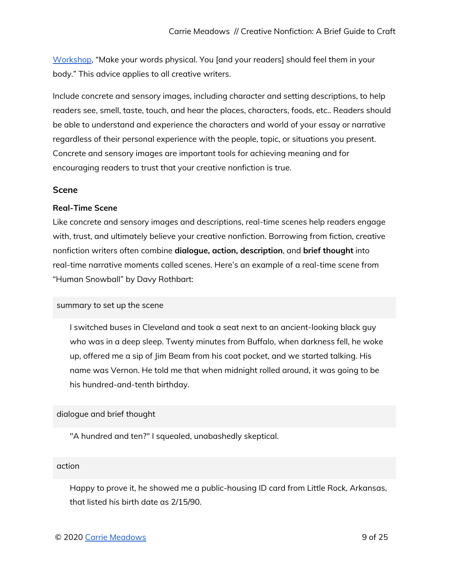[Workshop,](https://tinhouse.com/building-the-emotional-image-with-natalie-diaz/) "Make your words physical. You [and your readers] should feel them in your body.Ⱥ This advice applies to all creative writers.

Include concrete and sensory images, including character and setting descriptions, to help readers see, smell, taste, touch, and hear the places, characters, foods, etc.. Readers should be able to understand and experience the characters and world of your essay or narrative regardless of their personal experience with the people, topic, or situations you present. Concrete and sensory images are important tools for achieving meaning and for encouraging readers to trust that your creative nonfiction is true.

#### **Scene**

#### **Real-Time Scene**

Like concrete and sensory images and descriptions, real-time scenes help readers engage with, trust, and ultimately believe your creative nonfiction. Borrowing from fiction, creative nonfiction writers often combine **dialoque, action, description**, and **brief thought** into real-time narrative moments called scenes. Here's an example of a real-time scene from "Human Snowball" by Davy Rothbart:

#### summary to set up the scene

I switched buses in Cleveland and took a seat next to an ancient-looking black guy who was in a deep sleep. Twenty minutes from Buffalo, when darkness fell, he woke up, offered me a sip of Jim Beam from his coat pocket, and we started talking. His name was Vernon. He told me that when midnight rolled around, it was going to be his hundred-and-tenth birthday.

### dialogue and brief thought

"A hundred and ten?" I squealed, unabashedly skeptical.

#### action

Happy to prove it, he showed me a public-housing ID card from Little Rock, Arkansas, that listed his birth date as  $2/15/90$ .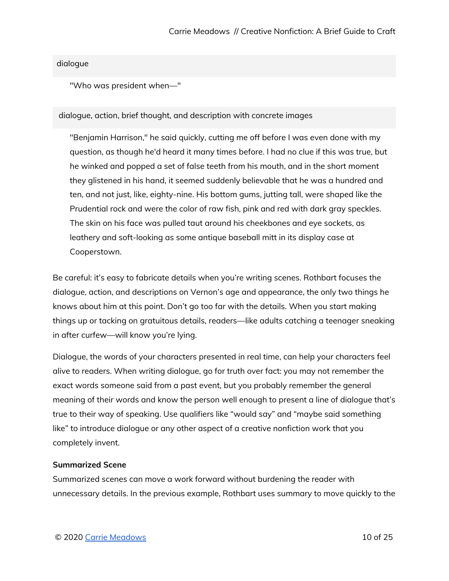### dialogue

"Who was president when-"

#### dialogue, action, brief thought, and description with concrete images

"Benjamin Harrison," he said quickly, cutting me off before I was even done with my question, as though he'd heard it many times before. I had no clue if this was true, but he winked and popped a set of false teeth from his mouth, and in the short moment they glistened in his hand, it seemed suddenly believable that he was a hundred and ten, and not just, like, eighty-nine. His bottom gums, jutting tall, were shaped like the Prudential rock and were the color of raw fish, pink and red with dark gray speckles. The skin on his face was pulled taut around his cheekbones and eye sockets, as leathery and soft-looking as some antique baseball mitt in its display case at Cooperstown.

Be careful: it's easy to fabricate details when you're writing scenes. Rothbart focuses the dialogue, action, and descriptions on Vernon's age and appearance, the only two things he knows about him at this point. Don't go too far with the details. When you start making things up or tacking on gratuitous details, readers—like adults catching a teenager sneaking in after curfew—will know you're lying.

Dialogue, the words of your characters presented in real time, can help your characters feel alive to readers. When writing dialogue, go for truth over fact: you may not remember the exact words someone said from a past event, but you probably remember the general meaning of their words and know the person well enough to present a line of dialogue that's true to their way of speaking. Use qualifiers like "would say" and "maybe said something like" to introduce dialogue or any other aspect of a creative nonfiction work that you completely invent.

#### **Summarized Scene**

Summarized scenes can move a work forward without burdening the reader with unnecessary details. In the previous example, Rothbart uses summary to move quickly to the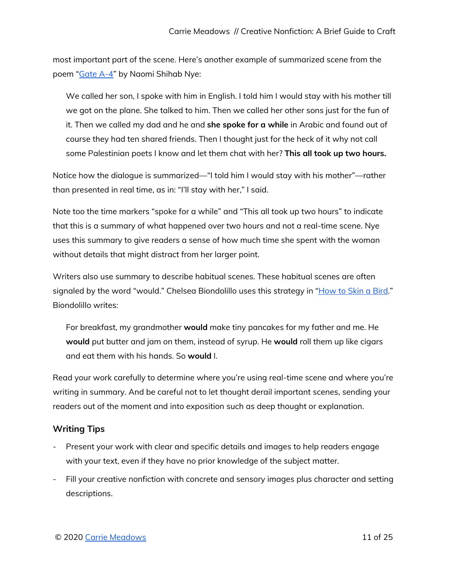most important part of the scene. Here's another example of summarized scene from the poem "[Gate](https://youtu.be/HwDXJ50U22o?t=23) A-4" by Naomi Shihab Nye:

We called her son, I spoke with him in English. I told him I would stay with his mother till we got on the plane. She talked to him. Then we called her other sons just for the fun of it. Then we called my dad and he and she spoke for a while in Arabic and found out of course they had ten shared friends. Then I thought just for the heck of it why not call some Palestinian poets I know and let them chat with her? This all took up two hours.

Notice how the dialogue is summarized—"I told him I would stay with his mother"—rather than presented in real time, as in: "I'll stay with her," I said.

Note too the time markers "spoke for a while" and "This all took up two hours" to indicate that this is a summary of what happened over two hours and not a real-time scene. Nye uses this summary to give readers a sense of how much time she spent with the woman without details that might distract from her larger point.

Writers also use summary to describe habitual scenes. These habitual scenes are often signaled by the word "would." Chelsea Biondolillo uses this strategy in "How to Skin a Bird." Biondolillo writes:

For breakfast, my grandmother **would** make tiny pancakes for my father and me. He would put butter and jam on them, instead of syrup. He would roll them up like cigars and eat them with his hands. So **would** I.

Read your work carefully to determine where you're using real-time scene and where you're writing in summary. And be careful not to let thought derail important scenes, sending your readers out of the moment and into exposition such as deep thought or explanation.

# **Writing Tips**

- Present your work with clear and specific details and images to help readers engage with your text, even if they have no prior knowledge of the subject matter.
- Fill your creative nonfiction with concrete and sensory images plus character and setting descriptions.